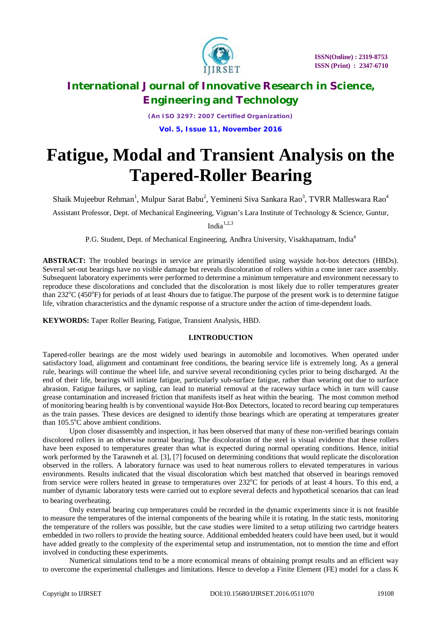

*(An ISO 3297: 2007 Certified Organization)* **Vol. 5, Issue 11, November 2016**

# **Fatigue, Modal and Transient Analysis on the Tapered-Roller Bearing**

Shaik Mujeebur Rehman $^1$ , Mulpur Sarat Babu $^2$ , Yemineni Siva Sankara Rao $^3$ , TVRR Malleswara Rao $^4$ 

Assistant Professor, Dept. of Mechanical Engineering, Vignan's Lara Institute of Technology & Science, Guntur,

India $1,2,3$ 

P.G. Student, Dept. of Mechanical Engineering, Andhra University, Visakhapatnam, India<sup>4</sup>

**ABSTRACT:** The troubled bearings in service are primarily identified using wayside hot-box detectors (HBDs). Several set-out bearings have no visible damage but reveals discoloration of rollers within a cone inner race assembly. Subsequent laboratory experiments were performed to determine a minimum temperature and environment necessary to reproduce these discolorations and concluded that the discoloration is most likely due to roller temperatures greater than 232°C (450°F) for periods of at least 4hours due to fatigue. The purpose of the present work is to determine fatigue life, vibration characteristics and the dynamic response of a structure under the action of time-dependent loads.

**KEYWORDS:** Taper Roller Bearing, Fatigue, Transient Analysis, HBD.

# **I.INTRODUCTION**

Tapered-roller bearings are the most widely used bearings in automobile and locomotives. When operated under satisfactory load, alignment and contaminant free conditions, the bearing service life is extremely long. As a general rule, bearings will continue the wheel life, and survive several reconditioning cycles prior to being discharged. At the end of their life, bearings will initiate fatigue, particularly sub-surface fatigue, rather than wearing out due to surface abrasion. Fatigue failures, or sapling, can lead to material removal at the raceway surface which in turn will cause grease contamination and increased friction that manifests itself as heat within the bearing. The most common method of monitoring bearing health is by conventional wayside Hot-Box Detectors, located to record bearing cup temperatures as the train passes. These devices are designed to identify those bearings which are operating at temperatures greater than  $105.5^{\circ}$ C above ambient conditions.

Upon closer disassembly and inspection, it has been observed that many of these non-verified bearings contain discolored rollers in an otherwise normal bearing. The discoloration of the steel is visual evidence that these rollers have been exposed to temperatures greater than what is expected during normal operating conditions. Hence, initial work performed by the Tarawneh et al. [3], [7] focused on determining conditions that would replicate the discoloration observed in the rollers. A laboratory furnace was used to heat numerous rollers to elevated temperatures in various environments. Results indicated that the visual discoloration which best matched that observed in bearings removed from service were rollers heated in grease to temperatures over  $232^{\circ}$ C for periods of at least 4 hours. To this end, a number of dynamic laboratory tests were carried out to explore several defects and hypothetical scenarios that can lead to bearing overheating.

Only external bearing cup temperatures could be recorded in the dynamic experiments since it is not feasible to measure the temperatures of the internal components of the bearing while it is rotating. In the static tests, monitoring the temperature of the rollers was possible, but the case studies were limited to a setup utilizing two cartridge heaters embedded in two rollers to provide the heating source. Additional embedded heaters could have been used, but it would have added greatly to the complexity of the experimental setup and instrumentation, not to mention the time and effort involved in conducting these experiments.

Numerical simulations tend to be a more economical means of obtaining prompt results and an efficient way to overcome the experimental challenges and limitations. Hence to develop a Finite Element (FE) model for a class K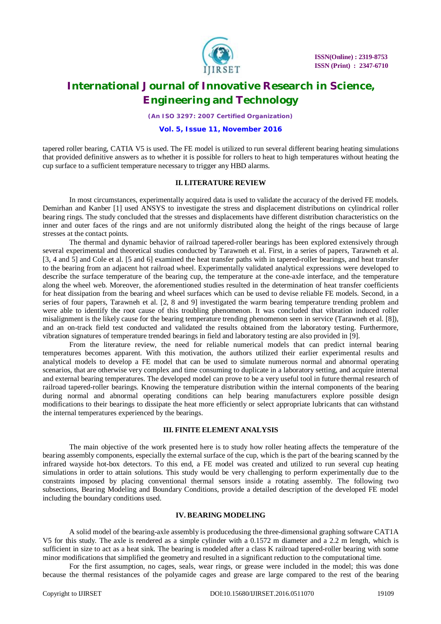

*(An ISO 3297: 2007 Certified Organization)*

## **Vol. 5, Issue 11, November 2016**

tapered roller bearing, CATIA V5 is used. The FE model is utilized to run several different bearing heating simulations that provided definitive answers as to whether it is possible for rollers to heat to high temperatures without heating the cup surface to a sufficient temperature necessary to trigger any HBD alarms.

## **II. LITERATURE REVIEW**

In most circumstances, experimentally acquired data is used to validate the accuracy of the derived FE models. Demirhan and Kanber [1] used ANSYS to investigate the stress and displacement distributions on cylindrical roller bearing rings. The study concluded that the stresses and displacements have different distribution characteristics on the inner and outer faces of the rings and are not uniformly distributed along the height of the rings because of large stresses at the contact points.

The thermal and dynamic behavior of railroad tapered-roller bearings has been explored extensively through several experimental and theoretical studies conducted by Tarawneh et al. First, in a series of papers, Tarawneh et al. [3, 4 and 5] and Cole et al. [5 and 6] examined the heat transfer paths with in tapered-roller bearings, and heat transfer to the bearing from an adjacent hot railroad wheel. Experimentally validated analytical expressions were developed to describe the surface temperature of the bearing cup, the temperature at the cone-axle interface, and the temperature along the wheel web. Moreover, the aforementioned studies resulted in the determination of heat transfer coefficients for heat dissipation from the bearing and wheel surfaces which can be used to devise reliable FE models. Second, in a series of four papers, Tarawneh et al. [2, 8 and 9] investigated the warm bearing temperature trending problem and were able to identify the root cause of this troubling phenomenon. It was concluded that vibration induced roller misalignment is the likely cause for the bearing temperature trending phenomenon seen in service (Tarawneh et al. [8]), and an on-track field test conducted and validated the results obtained from the laboratory testing. Furthermore, vibration signatures of temperature trended bearings in field and laboratory testing are also provided in [9].

From the literature review, the need for reliable numerical models that can predict internal bearing temperatures becomes apparent. With this motivation, the authors utilized their earlier experimental results and analytical models to develop a FE model that can be used to simulate numerous normal and abnormal operating scenarios, that are otherwise very complex and time consuming to duplicate in a laboratory setting, and acquire internal and external bearing temperatures. The developed model can prove to be a very useful tool in future thermal research of railroad tapered-roller bearings. Knowing the temperature distribution within the internal components of the bearing during normal and abnormal operating conditions can help bearing manufacturers explore possible design modifications to their bearings to dissipate the heat more efficiently or select appropriate lubricants that can withstand the internal temperatures experienced by the bearings.

# **III. FINITE ELEMENT ANALYSIS**

The main objective of the work presented here is to study how roller heating affects the temperature of the bearing assembly components, especially the external surface of the cup, which is the part of the bearing scanned by the infrared wayside hot-box detectors. To this end, a FE model was created and utilized to run several cup heating simulations in order to attain solutions. This study would be very challenging to perform experimentally due to the constraints imposed by placing conventional thermal sensors inside a rotating assembly. The following two subsections, Bearing Modeling and Boundary Conditions, provide a detailed description of the developed FE model including the boundary conditions used.

# **IV. BEARING MODELING**

A solid model of the bearing-axle assembly is producedusing the three-dimensional graphing software CAT1A V5 for this study. The axle is rendered as a simple cylinder with a 0.1572 m diameter and a 2.2 m length, which is sufficient in size to act as a heat sink. The bearing is modeled after a class K railroad tapered-roller bearing with some minor modifications that simplified the geometry and resulted in a significant reduction to the computational time.

For the first assumption, no cages, seals, wear rings, or grease were included in the model; this was done because the thermal resistances of the polyamide cages and grease are large compared to the rest of the bearing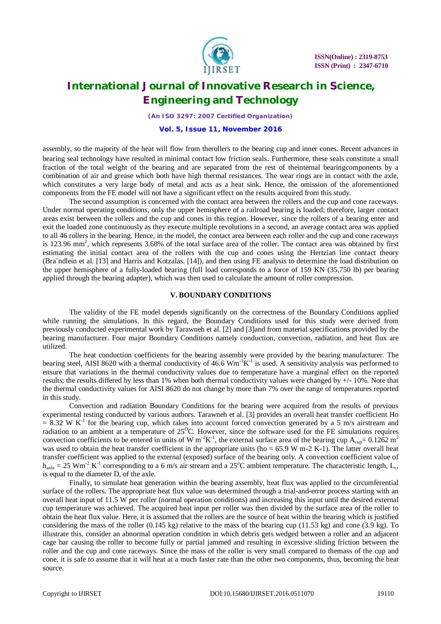

*(An ISO 3297: 2007 Certified Organization)*

#### **Vol. 5, Issue 11, November 2016**

assembly, so the majority of the heat will flow from therollers to the bearing cup and inner cones. Recent advances in bearing seal technology have resulted in minimal contact low friction seals. Furthermore, these seals constitute a small fraction of the total weight of the bearing and are separated from the rest of theinternal bearingcomponents by a combination of air and grease which both have high thermal resistances. The wear rings are in contact with the axle, which constitutes a very large body of metal and acts as a heat sink. Hence, the omission of the aforementioned components from the FE model will not have a significant effect on the results acquired from this study.

The second assumption is concerned with the contact area between the rollers and the cup and cone raceways. Under normal operating conditions, only the upper hemisphere of a railroad bearing is loaded; therefore, larger contact areas exist between the rollers and the cup and cones in this region. However, since the rollers of a bearing enter and exit the loaded zone continuously as they execute multiple revolutions in a second, an average contact area was applied to all 46 rollers in the bearing. Hence, in the model, the contact area between each roller and the cup and cone raceways is 123.96 mm<sup>2</sup>, which represents 3.68% of the total surface area of the roller. The contact area was obtained by first estimating the initial contact area of the rollers with the cup and cones using the Hertzian line contact theory (Bra¨ndlein et al. [13] and Harris and Kotzalas. [14]), and then using FE analysis to determine the load distribution on the upper hemisphere of a fully-loaded bearing (full load corresponds to a force of 159 KN (35,750 lb) per bearing applied through the bearing adapter), which was then used to calculate the amount of roller compression.

### **V. BOUNDARY CONDITIONS**

The validity of the FE model depends significantly on the correctness of the Boundary Conditions applied while running the simulations. In this regard, the Boundary Conditions used for this study were derived from previously conducted experimental work by Tarawneh et al. [2] and [3]and from material specifications provided by the bearing manufacturer. Four major Boundary Conditions namely conduction, convection, radiation, and heat flux are utilized.

The heat conduction coefficients for the bearing assembly were provided by the bearing manufacturer. The bearing steel, AISI 8620 with a thermal conductivity of  $46.6$  Wm<sup>-1</sup>K<sup>-1</sup> is used. A sensitivity analysis was performed to ensure that variations in the thermal conductivity values due to temperature have a marginal effect on the reported results; the results differed by less than 1% when both thermal conductivity values were changed by  $+/-10\%$ . Note that the thermal conductivity values for AISI 8620 do not change by more than 7% over the range of temperatures reported in this study.

Convection and radiation Boundary Conditions for the bearing were acquired from the results of previous experimental testing conducted by various authors. Tarawneh et al. [3] provides an overall heat transfer coefficient Ho  $= 8.32$  W K<sup>-1</sup> for the bearing cup, which takes into account forced convection generated by a 5 m/s airstream and radiation to an ambient at a temperature of  $25^{\circ}$ C. However, since the software used for the FE simulations requires convection coefficients to be entered in units of W m<sup>-2</sup>K<sup>-1</sup>, the external surface area of the bearing cup  $A_{cup} = 0.1262$  m<sup>2</sup> was used to obtain the heat transfer coefficient in the appropriate units (ho =  $65.9$  W m-2 K-1). The latter overall heat transfer coefficient was applied to the external (exposed) surface of the bearing only. A convection coefficient value of  $h_{\text{axle}} = 25 \text{ Wm}^{-2} \text{ K}^{-1}$  corresponding to a 6 m/s air stream and a 25<sup>o</sup>C ambient temperature. The characteristic length, L<sub>c</sub>, is equal to the diameter D, of the axle.

Finally, to simulate heat generation within the bearing assembly, heat flux was applied to the circumferential surface of the rollers. The appropriate heat flux value was determined through a trial-and-error process starting with an overall heat input of 11.5 W per roller (normal operation conditions) and increasing this input until the desired external cup temperature was achieved. The acquired heat input per roller was then divided by the surface area of the roller to obtain the heat flux value. Here, it is assumed that the rollers are the source of heat within the bearing which is justified considering the mass of the roller  $(0.145 \text{ kg})$  relative to the mass of the bearing cup  $(11.53 \text{ kg})$  and cone  $(3.9 \text{ kg})$ . To illustrate this, consider an abnormal operation condition in which debris gets wedged between a roller and an adjacent cage bar causing the roller to become fully or partial jammed and resulting in excessive sliding friction between the roller and the cup and cone raceways. Since the mass of the roller is very small compared to themass of the cup and cone, it is safe to assume that it will heat at a much faster rate than the other two components, thus, becoming the heat source.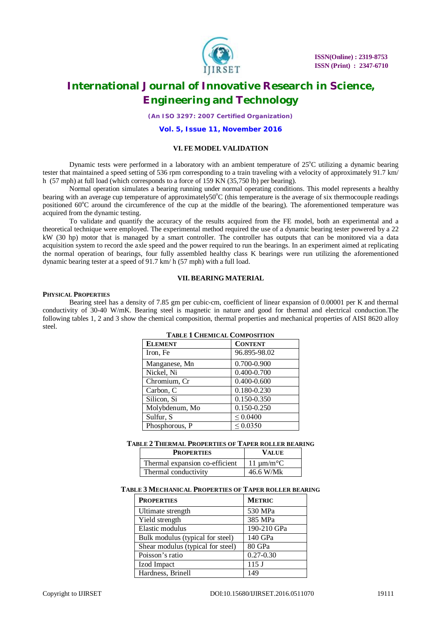

*(An ISO 3297: 2007 Certified Organization)*

**Vol. 5, Issue 11, November 2016**

### **VI. FE MODEL VALIDATION**

Dynamic tests were performed in a laboratory with an ambient temperature of  $25^{\circ}$ C utilizing a dynamic bearing tester that maintained a speed setting of 536 rpm corresponding to a train traveling with a velocity of approximately 91.7 km/ h (57 mph) at full load (which corresponds to a force of 159 KN (35,750 lb) per bearing).

Normal operation simulates a bearing running under normal operating conditions. This model represents a healthy bearing with an average cup temperature of approximately $50^{\circ}$ C (this temperature is the average of six thermocouple readings positioned  $60^{\circ}$ C around the circumference of the cup at the middle of the bearing). The aforementioned temperature was acquired from the dynamic testing.

To validate and quantify the accuracy of the results acquired from the FE model, both an experimental and a theoretical technique were employed. The experimental method required the use of a dynamic bearing tester powered by a 22 kW (30 hp) motor that is managed by a smart controller. The controller has outputs that can be monitored via a data acquisition system to record the axle speed and the power required to run the bearings. In an experiment aimed at replicating the normal operation of bearings, four fully assembled healthy class K bearings were run utilizing the aforementioned dynamic bearing tester at a speed of 91.7 km/ h (57 mph) with a full load.

### **VII. BEARING MATERIAL**

#### **PHYSICAL PROPERTIES**

Bearing steel has a density of 7.85 gm per cubic-cm, coefficient of linear expansion of 0.00001 per K and thermal conductivity of 30-40 W/mK. Bearing steel is magnetic in nature and good for thermal and electrical conduction.The following tables 1, 2 and 3 show the chemical composition, thermal properties and mechanical properties of AISI 8620 alloy steel.

| <b>ELEMENT</b> | <b>CONTENT</b>  |
|----------------|-----------------|
| Iron, Fe       | 96.895-98.02    |
| Manganese, Mn  | 0.700-0.900     |
| Nickel, Ni     | 0.400-0.700     |
| Chromium, Cr   | $0.400 - 0.600$ |
| Carbon, C      | 0.180-0.230     |
| Silicon, Si    | 0.150-0.350     |
| Molybdenum, Mo | 0.150-0.250     |
| Sulfur, S      | $\leq 0.0400$   |
| Phosphorous, P | $\leq 0.0350$   |

# **TABLE 1 CHEMICAL COMPOSITION**

#### **TABLE 2 THERMAL PROPERTIES OF TAPER ROLLER BEARING**

| <b>PROPERTIES</b>              | <b>VALUE</b>           |
|--------------------------------|------------------------|
| Thermal expansion co-efficient | 11 um/m <sup>o</sup> C |
| Thermal conductivity           | 46.6 W/Mk              |

### **TABLE 3 MECHANICAL PROPERTIES OF TAPER ROLLER BEARING**

| <b>PROPERTIES</b>                 | <b>METRIC</b> |
|-----------------------------------|---------------|
| Ultimate strength                 | 530 MPa       |
| Yield strength                    | 385 MPa       |
| Elastic modulus                   | 190-210 GPa   |
| Bulk modulus (typical for steel)  | 140 GPa       |
| Shear modulus (typical for steel) | 80 GPa        |
| Poisson's ratio                   | $0.27 - 0.30$ |
| Izod Impact                       | 115J          |
| Hardness, Brinell                 | 149           |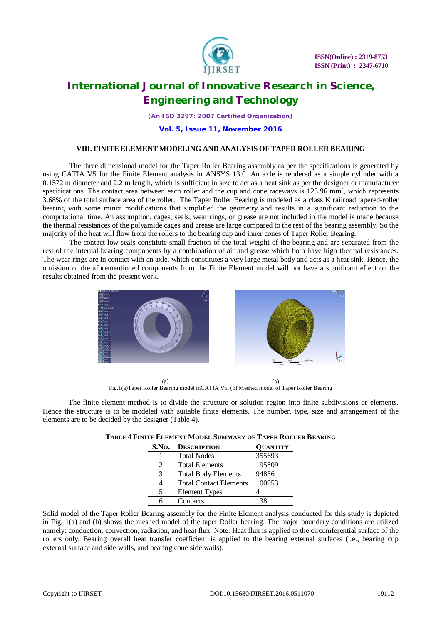

*(An ISO 3297: 2007 Certified Organization)*

**Vol. 5, Issue 11, November 2016**

### **VIII. FINITE ELEMENT MODELING AND ANALYSIS OF TAPER ROLLER BEARING**

The three dimensional model for the Taper Roller Bearing assembly as per the specifications is generated by using CATIA V5 for the Finite Element analysis in ANSYS 13.0. An axle is rendered as a simple cylinder with a 0.1572 m diameter and 2.2 m length, which is sufficient in size to act as a heat sink as per the designer or manufacturer specifications. The contact area between each roller and the cup and cone raceways is  $123.96 \text{ mm}^2$ , which represents 3.68% of the total surface area of the roller. The Taper Roller Bearing is modeled as a class K railroad tapered-roller bearing with some minor modifications that simplified the geometry and results in a significant reduction to the computational time. An assumption, cages, seals, wear rings, or grease are not included in the model is made because the thermal resistances of the polyamide cages and grease are large compared to the rest of the bearing assembly. So the majority of the heat will flow from the rollers to the bearing cup and inner cones of Taper Roller Bearing.

The contact low seals constitute small fraction of the total weight of the bearing and are separated from the rest of the internal bearing components by a combination of air and grease which both have high thermal resistances. The wear rings are in contact with an axle, which constitutes a very large metal body and acts as a heat sink. Hence, the omission of the aforementioned components from the Finite Element model will not have a significant effect on the results obtained from the present work.



 $(a)$  (b) Fig.1(a)Taper Roller Bearing model inCATIA V5, (b) Meshed model of Taper Roller Bearing

 The finite element method is to divide the structure or solution region into finite subdivisions or elements. Hence the structure is to be modeled with suitable finite elements. The number, type, size and arrangement of the elements are to be decided by the designer (Table 4).

| S.No.                       | <b>DESCRIPTION</b>            | <b>QUANTITY</b> |
|-----------------------------|-------------------------------|-----------------|
|                             | <b>Total Nodes</b>            | 355693          |
| $\mathcal{D}_{\mathcal{L}}$ | <b>Total Elements</b>         | 195809          |
| 3                           | <b>Total Body Elements</b>    | 94856           |
|                             | <b>Total Contact Elements</b> | 100953          |
|                             | <b>Element Types</b>          |                 |
| 6                           | Contacts                      | 138             |

**TABLE 4 FINITE ELEMENT MODEL SUMMARY OF TAPER ROLLER BEARING**

Solid model of the Taper Roller Bearing assembly for the Finite Element analysis conducted for this study is depicted in Fig. 1(a) and (b) shows the meshed model of the taper Roller bearing. The major boundary conditions are utilized namely: conduction, convection, radiation, and heat flux. Note: Heat flux is applied to the circumferential surface of the rollers only, Bearing overall heat transfer coefficient is applied to the bearing external surfaces (i.e., bearing cup external surface and side walls, and bearing cone side walls).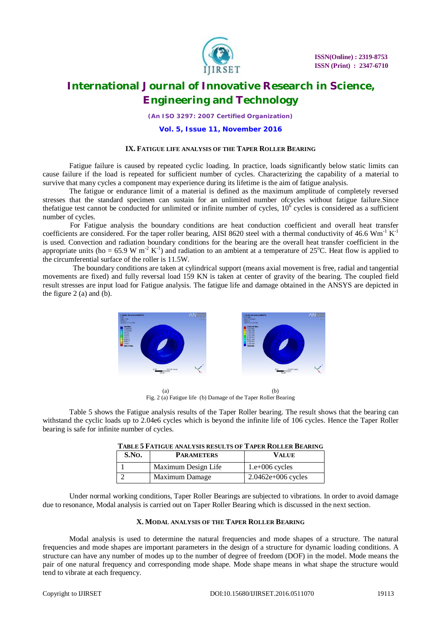

*(An ISO 3297: 2007 Certified Organization)*

#### **Vol. 5, Issue 11, November 2016**

#### **IX. FATIGUE LIFE ANALYSIS OF THE TAPER ROLLER BEARING**

Fatigue failure is caused by repeated cyclic loading. In practice, loads significantly below static limits can cause failure if the load is repeated for sufficient number of cycles. Characterizing the capability of a material to survive that many cycles a component may experience during its lifetime is the aim of fatigue analysis.

The fatigue or endurance limit of a material is defined as the maximum amplitude of completely reversed stresses that the standard specimen can sustain for an unlimited number ofcycles without fatigue failure.Since thefatigue test cannot be conducted for unlimited or infinite number of cycles,  $10^6$  cycles is considered as a sufficient number of cycles.

For Fatigue analysis the boundary conditions are heat conduction coefficient and overall heat transfer coefficients are considered. For the taper roller bearing, AISI 8620 steel with a thermal conductivity of 46.6  $Wm^{-1} K^{-1}$ is used. Convection and radiation boundary conditions for the bearing are the overall heat transfer coefficient in the appropriate units (ho = 65.9 W m<sup>-2</sup> K<sup>-1</sup>) and radiation to an ambient at a temperature of 25<sup>o</sup>C. Heat flow is applied to the circumferential surface of the roller is 11.5W.

 The boundary conditions are taken at cylindrical support (means axial movement is free, radial and tangential movements are fixed) and fully reversal load 159 KN is taken at center of gravity of the bearing. The coupled field result stresses are input load for Fatigue analysis. The fatigue life and damage obtained in the ANSYS are depicted in the figure  $2$  (a) and (b).



 $(a)$  (b) Fig. 2 (a) Fatigue life (b) Damage of the Taper Roller Bearing

Table 5 shows the Fatigue analysis results of the Taper Roller bearing. The result shows that the bearing can withstand the cyclic loads up to 2.04e6 cycles which is beyond the infinite life of 106 cycles. Hence the Taper Roller bearing is safe for infinite number of cycles.

| S.No. | <b>PARAMETERS</b>   | <b>VALUE</b>         |  |
|-------|---------------------|----------------------|--|
|       | Maximum Design Life | $1.e+006$ cycles     |  |
|       | Maximum Damage      | $2.0462e+006$ cycles |  |

| <b>TABLE 5 FATIGUE ANALYSIS RESULTS OF TAPER ROLLER BEARING</b> |  |
|-----------------------------------------------------------------|--|
|-----------------------------------------------------------------|--|

Under normal working conditions, Taper Roller Bearings are subjected to vibrations. In order to avoid damage due to resonance, Modal analysis is carried out on Taper Roller Bearing which is discussed in the next section.

# **X. MODAL ANALYSIS OF THE TAPER ROLLER BEARING**

Modal analysis is used to determine the natural frequencies and mode shapes of a structure. The natural frequencies and mode shapes are important parameters in the design of a structure for dynamic loading conditions. A structure can have any number of modes up to the number of degree of freedom (DOF) in the model. Mode means the pair of one natural frequency and corresponding mode shape. Mode shape means in what shape the structure would tend to vibrate at each frequency.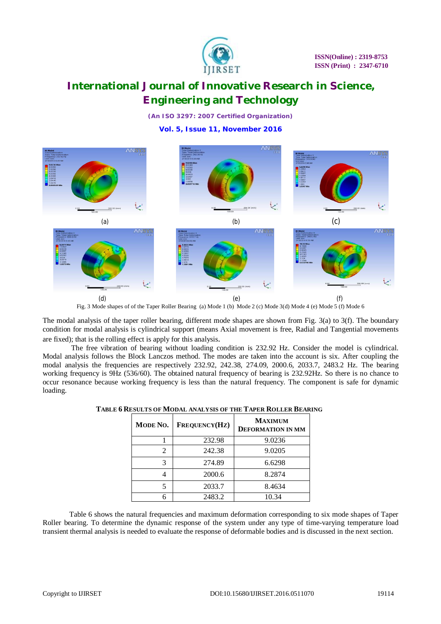

*(An ISO 3297: 2007 Certified Organization)*

# **Vol. 5, Issue 11, November 2016**



Fig. 3 Mode shapes of of the Taper Roller Bearing (a) Mode 1 (b) Mode 2 (c) Mode 3(d) Mode 4 (e) Mode 5 (f) Mode 6

The modal analysis of the taper roller bearing, different mode shapes are shown from Fig. 3(a) to 3(f). The boundary condition for modal analysis is cylindrical support (means Axial movement is free, Radial and Tangential movements are fixed); that is the rolling effect is apply for this analysis.

The free vibration of bearing without loading condition is 232.92 Hz. Consider the model is cylindrical. Modal analysis follows the Block Lanczos method. The modes are taken into the account is six. After coupling the modal analysis the frequencies are respectively 232.92, 242.38, 274.09, 2000.6, 2033.7, 2483.2 Hz. The bearing working frequency is 9Hz (536/60). The obtained natural frequency of bearing is 232.92Hz. So there is no chance to occur resonance because working frequency is less than the natural frequency. The component is safe for dynamic loading.

| MODE NO. | FREQUENCY(HZ) | MAXIMUM<br><b>DEFORMATION IN MM</b> |
|----------|---------------|-------------------------------------|
|          | 232.98        | 9.0236                              |
| 2        | 242.38        | 9.0205                              |
| 3        | 274.89        | 6.6298                              |
|          | 2000.6        | 8.2874                              |
| 5        | 2033.7        | 8.4634                              |
|          | 2483.2        | 10.34                               |

| TABLE 6 RESULTS OF MODAL ANALYSIS OF THE TAPER ROLLER BEARING |  |
|---------------------------------------------------------------|--|
|---------------------------------------------------------------|--|

Table 6 shows the natural frequencies and maximum deformation corresponding to six mode shapes of Taper Roller bearing. To determine the dynamic response of the system under any type of time-varying temperature load transient thermal analysis is needed to evaluate the response of deformable bodies and is discussed in the next section.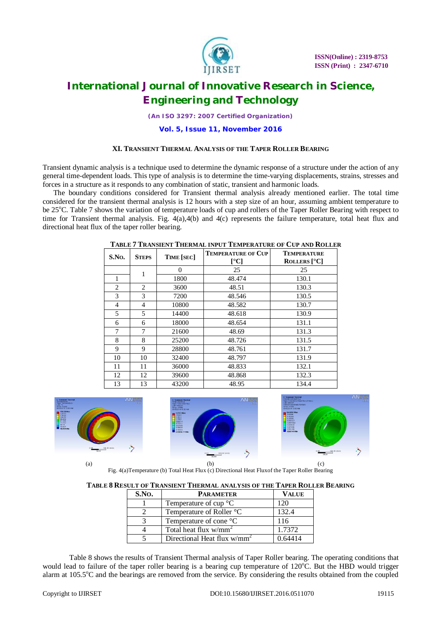

*(An ISO 3297: 2007 Certified Organization)*

## **Vol. 5, Issue 11, November 2016**

#### **XI. TRANSIENT THERMAL ANALYSIS OF THE TAPER ROLLER BEARING**

Transient dynamic analysis is a technique used to determine the dynamic response of a structure under the action of any general time-dependent loads. This type of analysis is to determine the time-varying displacements, strains, stresses and forces in a structure as it responds to any combination of static, transient and harmonic loads.

The boundary conditions considered for Transient thermal analysis already mentioned earlier. The total time considered for the transient thermal analysis is 12 hours with a step size of an hour, assuming ambient temperature to be 25<sup>o</sup>C. Table 7 shows the variation of temperature loads of cup and rollers of the Taper Roller Bearing with respect to time for Transient thermal analysis. Fig. 4(a),4(b) and 4(c) represents the failure temperature, total heat flux and directional heat flux of the taper roller bearing.

| S.No.          | <b>STEPS</b> | TIME [SEC] | <b>TEMPERATURE OF CUP</b><br>[°C] | <b>TEMPERATURE</b><br>ROLLERS <sup>[°</sup> C] |
|----------------|--------------|------------|-----------------------------------|------------------------------------------------|
|                |              | $\Omega$   | 25                                | 25                                             |
| 1              |              | 1800       | 48.474                            | 130.1                                          |
| $\overline{c}$ | 2            | 3600       | 48.51                             | 130.3                                          |
| 3              | 3            | 7200       | 48.546                            | 130.5                                          |
| 4              | 4            | 10800      | 48.582                            | 130.7                                          |
| 5              | 5            | 14400      | 48.618                            | 130.9                                          |
| 6              | 6            | 18000      | 48.654                            | 131.1                                          |
| 7              | 7            | 21600      | 48.69                             | 131.3                                          |
| 8              | 8            | 25200      | 48.726                            | 131.5                                          |
| 9              | 9            | 28800      | 48.761                            | 131.7                                          |
| 10             | 10           | 32400      | 48.797                            | 131.9                                          |
| 11             | 11           | 36000      | 48.833                            | 132.1                                          |
| 12             | 12           | 39600      | 48.868                            | 132.3                                          |
| 13             | 13           | 43200      | 48.95                             | 134.4                                          |

**TABLE 7 TRANSIENT THERMAL INPUT TEMPERATURE OF CUP AND ROLLER**



Fig. 4(a)Temperature (b) Total Heat Flux (c) Directional Heat Fluxof the Taper Roller Bearing

| S.NO. | <b>PARAMETER</b>                        | <b>VALUE</b> |
|-------|-----------------------------------------|--------------|
|       | Temperature of cup $\mathrm{^{\circ}C}$ | 120          |
|       | Temperature of Roller °C                | 132.4        |
|       | Temperature of cone °C                  | 116          |
|       | Total heat flux $w/mm^2$                | 1.7372       |
|       | Directional Heat flux $w/mm^2$          | በ 64414      |

Table 8 shows the results of Transient Thermal analysis of Taper Roller bearing. The operating conditions that would lead to failure of the taper roller bearing is a bearing cup temperature of 120°C. But the HBD would trigger alarm at 105.5<sup>o</sup>C and the bearings are removed from the service. By considering the results obtained from the coupled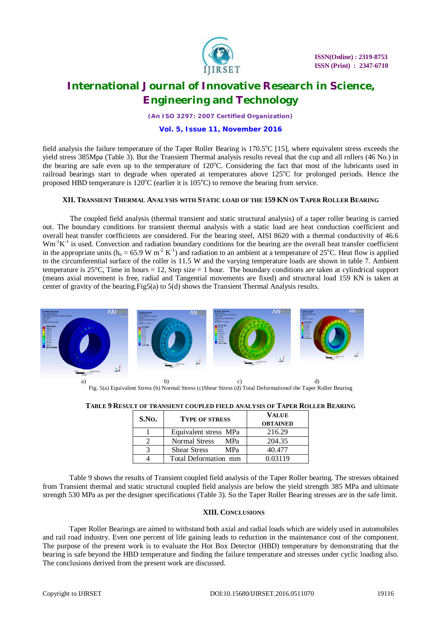

*(An ISO 3297: 2007 Certified Organization)*

## **Vol. 5, Issue 11, November 2016**

field analysis the failure temperature of the Taper Roller Bearing is  $170.5^{\circ}$ C [15], where equivalent stress exceeds the yield stress 385Mpa (Table 3). But the Transient Thermal analysis results reveal that the cup and all rollers (46 No.) in the bearing are safe even up to the temperature of 120°C. Considering the fact that most of the lubricants used in railroad bearings start to degrade when operated at temperatures above 125°C for prolonged periods. Hence the proposed HBD temperature is  $120^{\circ}$ C (earlier it is  $105^{\circ}$ C) to remove the bearing from service.

# **XII. TRANSIENT THERMAL ANALYSIS WITH STATIC LOAD OF THE 159 KN ON TAPER ROLLER BEARING**

The coupled field analysis (thermal transient and static structural analysis) of a taper roller bearing is carried out. The boundary conditions for transient thermal analysis with a static load are heat conduction coefficient and overall heat transfer coefficients are considered. For the bearing steel, AISI 8620 with a thermal conductivity of 46.6  $Wm^{-1}K^{-1}$  is used. Convection and radiation boundary conditions for the bearing are the overall heat transfer coefficient in the appropriate units ( $h_o = 65.9 \text{ W m}^2 \text{ K}^{-1}$ ) and radiation to an ambient at a temperature of 25°C. Heat flow is applied to the circumferential surface of the roller is 11.5 W and the varying temperature loads are shown in table 7. Ambient temperature is 25 $\degree$ C, Time in hours = 12, Step size = 1 hour. The boundary conditions are taken at cylindrical support (means axial movement is free, radial and Tangential movements are fixed) and structural load 159 KN is taken at center of gravity of the bearing.Fig5(a) to 5(d) shows the Transient Thermal Analysis results.



Fig. 5(a) Equivalent Stress (b) Normal Stress (c)Shear Stress (d) Total Deformationof the Taper Roller Bearing

|  | TABLE 9 RESULT OF TRANSIENT COUPLED FIELD ANALYSIS OF TAPER ROLLER BEARING |
|--|----------------------------------------------------------------------------|
|--|----------------------------------------------------------------------------|

| S.No. | <b>TYPE OF STRESS</b>             | <b>VALUE</b>    |
|-------|-----------------------------------|-----------------|
|       |                                   | <b>OBTAINED</b> |
|       | Equivalent stress MPa             | 216.29          |
|       | <b>Normal Stress</b><br>MPa       | 204.35          |
|       | <b>Shear Stress</b><br><b>MPa</b> | 40.477          |
|       | Total Deformation mm              | 0.03119         |

Table 9 shows the results of Transient coupled field analysis of the Taper Roller bearing. The stresses obtained from Transient thermal and static structural coupled field analysis are below the yield strength 385 MPa and ultimate strength 530 MPa as per the designer specifications (Table 3). So the Taper Roller Bearing stresses are in the safe limit.

# **XIII. CONCLUSIONS**

Taper Roller Bearings are aimed to withstand both axial and radial loads which are widely used in automobiles and rail road industry. Even one percent of life gaining leads to reduction in the maintenance cost of the component. The purpose of the present work is to evaluate the Hot Box Detector (HBD) temperature by demonstrating that the bearing is safe beyond the HBD temperature and finding the failure temperature and stresses under cyclic loading also. The conclusions derived from the present work are discussed.